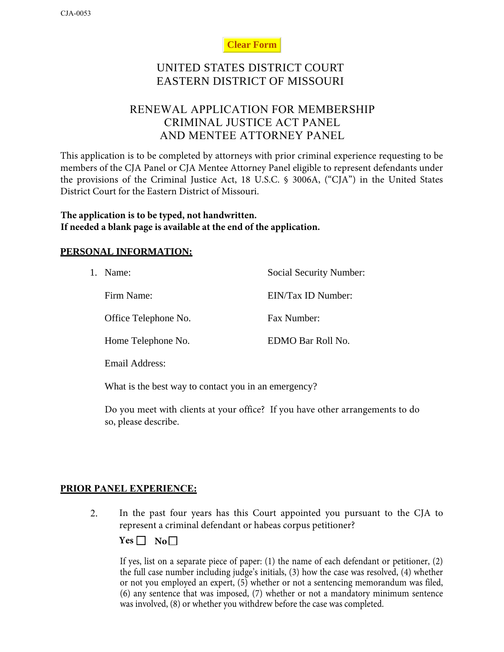### **Clear Form**

# UNITED STATES DISTRICT COURT EASTERN DISTRICT OF MISSOURI

# RENEWAL APPLICATION FOR MEMBERSHIP CRIMINAL JUSTICE ACT PANEL AND MENTEE ATTORNEY PANEL

This application is to be completed by attorneys with prior criminal experience requesting to be members of the CJA Panel or CJA Mentee Attorney Panel eligible to represent defendants under the provisions of the Criminal Justice Act, 18 U.S.C. § 3006A, ("CJA") in the United States District Court for the Eastern District of Missouri.

**The application is to be typed, not handwritten. If needed a blank page is available at the end of the application.**

### **PERSONAL INFORMATION:**

| 1. | Name:                | Social Security Number: |
|----|----------------------|-------------------------|
|    | Firm Name:           | EIN/Tax ID Number:      |
|    | Office Telephone No. | Fax Number:             |
|    | Home Telephone No.   | EDMO Bar Roll No.       |
|    |                      |                         |

Email Address:

What is the best way to contact you in an emergency?

Do you meet with clients at your office? If you have other arrangements to do so, please describe.

### **PRIOR PANEL EXPERIENCE:**

2. In the past four years has this Court appointed you pursuant to the CJA to represent a criminal defendant or habeas corpus petitioner?

 $Yes \Box No \Box$ 

If yes, list on a separate piece of paper: (1) the name of each defendant or petitioner, (2) the full case number including judge's initials, (3) how the case was resolved, (4) whether or not you employed an expert, (5) whether or not a sentencing memorandum was filed, (6) any sentence that was imposed, (7) whether or not a mandatory minimum sentence was involved, (8) or whether you withdrew before the case was completed.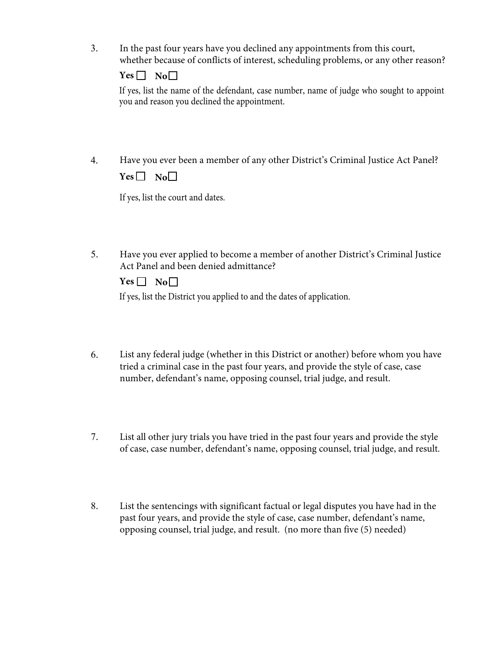3. In the past four years have you declined any appointments from this court, whether because of conflicts of interest, scheduling problems, or any other reason?

If yes, list the name of the defendant, case number, name of judge who sought to appoint you and reason you declined the appointment.

4. Have you ever been a member of any other District's Criminal Justice Act Panel?  $Yes \Box No \Box$ 

If yes, list the court and dates.

5. Have you ever applied to become a member of another District's Criminal Justice Act Panel and been denied admittance?

| -- | u i |
|----|-----|
|    |     |

If yes, list the District you applied to and the dates of application.

- 6. List any federal judge (whether in this District or another) before whom you have tried a criminal case in the past four years, and provide the style of case, case number, defendant's name, opposing counsel, trial judge, and result.
- 7. List all other jury trials you have tried in the past four years and provide the style of case, case number, defendant's name, opposing counsel, trial judge, and result.
- 8. List the sentencings with significant factual or legal disputes you have had in the past four years, and provide the style of case, case number, defendant's name, opposing counsel, trial judge, and result. (no more than five (5) needed)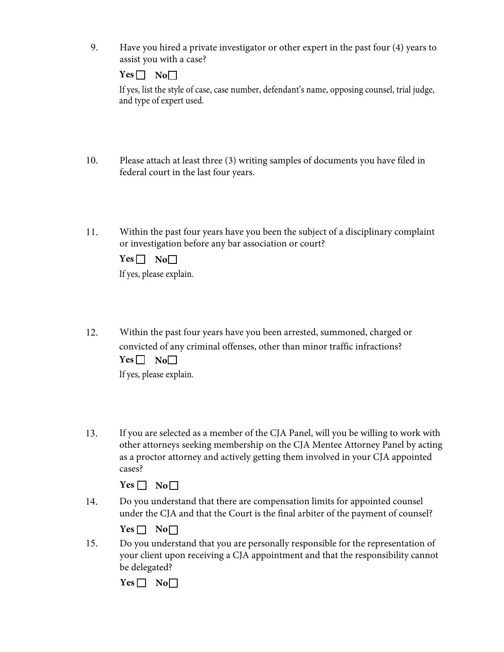9. Have you hired a private investigator or other expert in the past four (4) years to assist you with a case?

**Yes No** 

If yes, list the style of case, case number, defendant's name, opposing counsel, trial judge, and type of expert used.

- 10. Please attach at least three (3) writing samples of documents you have filed in federal court in the last four years.
- 11. Within the past four years have you been the subject of a disciplinary complaint or investigation before any bar association or court?

If yes, please explain. **Yes No** 

- 12. Within the past four years have you been arrested, summoned, charged or convicted of any criminal offenses, other than minor traffic infractions?  $Yes \Box No \Box$ If yes, please explain.
- 13. If you are selected as a member of the CJA Panel, will you be willing to work with other attorneys seeking membership on the CJA Mentee Attorney Panel by acting as a proctor attorney and actively getting them involved in your CJA appointed cases?

14. Do you understand that there are compensation limits for appointed counsel under the CJA and that the Court is the final arbiter of the payment of counsel?

| ., | H |
|----|---|
|----|---|

15. Do you understand that you are personally responsible for the representation of your client upon receiving a CJA appointment and that the responsibility cannot be delegated?

**Yes No□**